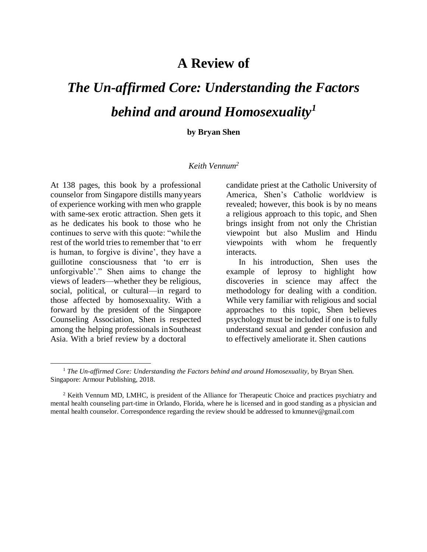## **A Review of**

## *The Un-affirmed Core: Understanding the Factors behind and around Homosexuality<sup>1</sup>*

## **by Bryan Shen**

## *Keith Vennum<sup>2</sup>*

At 138 pages, this book by a professional counselor from Singapore distills manyyears of experience working with men who grapple with same-sex erotic attraction. Shen gets it as he dedicates his book to those who he continues to serve with this quote: "while the rest of the world tries to remember that 'to err is human, to forgive is divine', they have a guillotine consciousness that 'to err is unforgivable'." Shen aims to change the views of leaders—whether they be religious, social, political, or cultural—in regard to those affected by homosexuality. With a forward by the president of the Singapore Counseling Association, Shen is respected among the helping professionals inSoutheast Asia. With a brief review by a doctoral

candidate priest at the Catholic University of America, Shen's Catholic worldview is revealed; however, this book is by no means a religious approach to this topic, and Shen brings insight from not only the Christian viewpoint but also Muslim and Hindu viewpoints with whom he frequently interacts.

In his introduction, Shen uses the example of leprosy to highlight how discoveries in science may affect the methodology for dealing with a condition. While very familiar with religious and social approaches to this topic, Shen believes psychology must be included if one is to fully understand sexual and gender confusion and to effectively ameliorate it. Shen cautions

<sup>&</sup>lt;sup>1</sup> The Un-affirmed Core: Understanding the Factors behind and around Homosexuality, by Bryan Shen. Singapore: Armour Publishing, 2018.

 $2$  Keith Vennum MD, LMHC, is president of the Alliance for Therapeutic Choice and practices psychiatry and mental health counseling part-time in Orlando, Florida, where he is licensed and in good standing as a physician and mental health counselor. Correspondence regarding the review should be addressed to [kmunnev@gmail.com](mailto:kmunnev@gmail.com)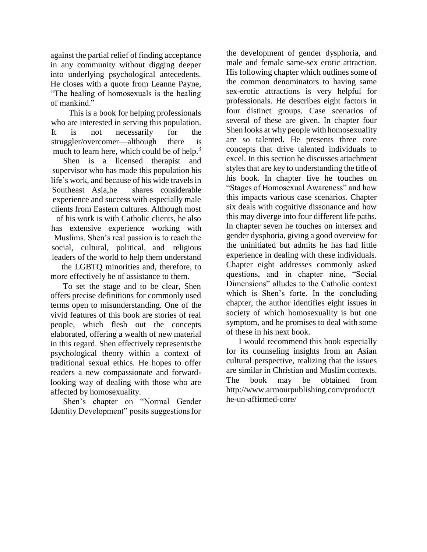against the partial relief of finding acceptance in any community without digging deeper into underlying psychological antecedents. He closes with a quote from Leanne Payne, "The healing of homosexuals is the healing of mankind."

This is a book for helping professionals who are interested in serving this population. It is not necessarily for the struggler/overcomer—although there is much to learn here, which could be of help.<sup>3</sup>

Shen is a licensed therapist and supervisor who has made this population his life's work, and because of his wide travels in Southeast Asia,he shares considerable experience and success with especially male clients from Eastern cultures. Although most of his work is with Catholic clients, he also has extensive experience working with Muslims. Shen's real passion is to reach the social, cultural, political, and religious

leaders of the world to help them understand the LGBTQ minorities and, therefore, to more effectively be of assistance to them.

To set the stage and to be clear, Shen offers precise definitions for commonly used terms open to misunderstanding. One of the vivid features of this book are stories of real people, which flesh out the concepts elaborated, offering a wealth of new material in this regard. Shen effectively represents the psychological theory within a context of traditional sexual ethics. He hopes to offer readers a new compassionate and forwardlooking way of dealing with those who are affected by homosexuality.

Shen's chapter on "Normal Gender Identity Development" posits suggestionsfor

the development of gender dysphoria, and male and female same-sex erotic attraction. His following chapter which outlines some of the common denominators to having same sex-erotic attractions is very helpful for professionals. He describes eight factors in four distinct groups. Case scenarios of several of these are given. In chapter four Shen looks at why people with homosexuality are so talented. He presents three core concepts that drive talented individuals to excel. In this section he discusses attachment styles that are key to understanding the title of his book. In chapter five he touches on "Stages of Homosexual Awareness" and how this impacts various case scenarios. Chapter six deals with cognitive dissonance and how this may diverge into four different life paths. In chapter seven he touches on intersex and gender dysphoria, giving a good overview for the uninitiated but admits he has had little experience in dealing with these individuals. Chapter eight addresses commonly asked questions, and in chapter nine, "Social Dimensions" alludes to the Catholic context which is Shen's forte. In the concluding chapter, the author identifies eight issues in society of which homosexuality is but one symptom, and he promises to deal with some of these in his next book.

I would recommend this book especially for its counseling insights from an Asian cultural perspective, realizing that the issues are similar in Christian and Muslimcontexts. The book may be obtained from <http://www.armourpublishing.com/product/t> he-un-affirmed-core/